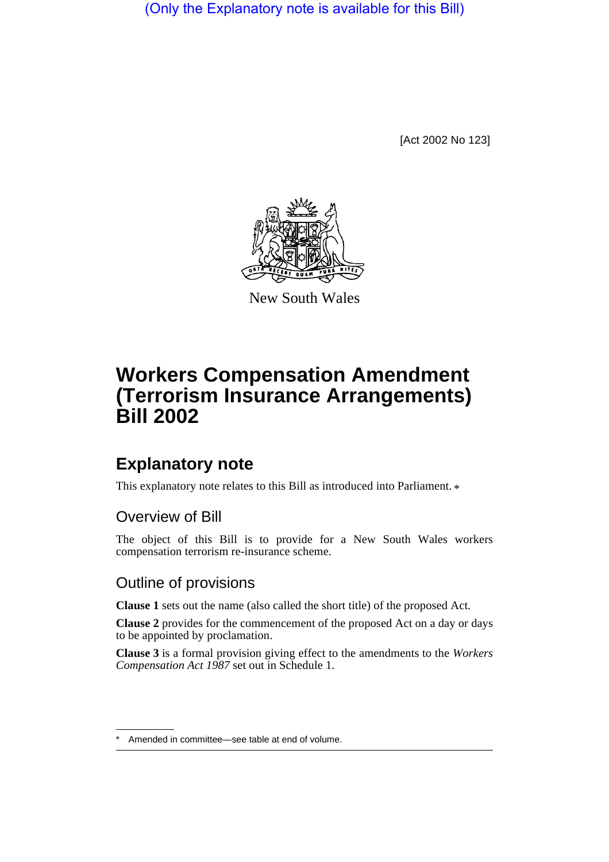(Only the Explanatory note is available for this Bill)

[Act 2002 No 123]



New South Wales

# **Workers Compensation Amendment (Terrorism Insurance Arrangements) Bill 2002**

## **Explanatory note**

This explanatory note relates to this Bill as introduced into Parliament.  $*$ 

### Overview of Bill

The object of this Bill is to provide for a New South Wales workers compensation terrorism re-insurance scheme.

#### Outline of provisions

**Clause 1** sets out the name (also called the short title) of the proposed Act.

**Clause 2** provides for the commencement of the proposed Act on a day or days to be appointed by proclamation.

**Clause 3** is a formal provision giving effect to the amendments to the *Workers Compensation Act 1987* set out in Schedule 1.

Amended in committee—see table at end of volume.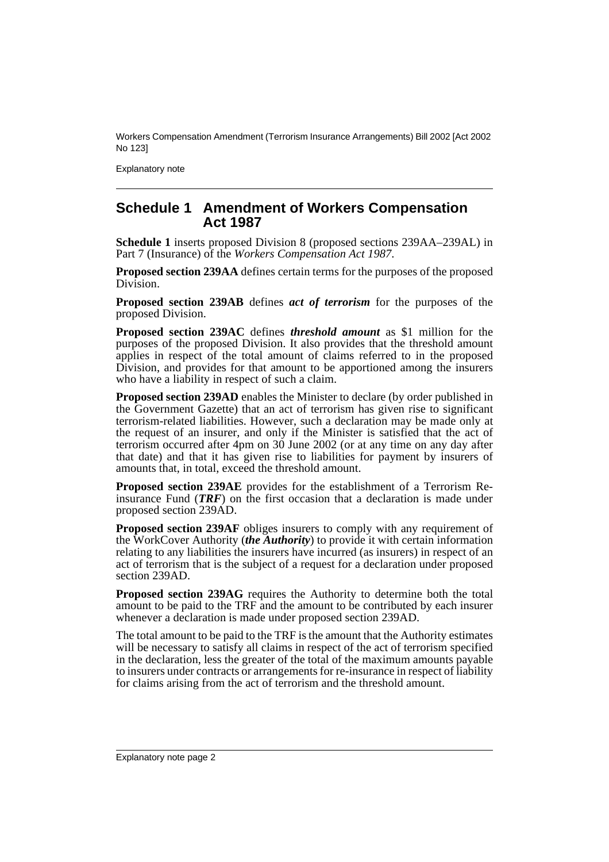Workers Compensation Amendment (Terrorism Insurance Arrangements) Bill 2002 [Act 2002 No 123]

Explanatory note

#### **Schedule 1 Amendment of Workers Compensation Act 1987**

**Schedule 1** inserts proposed Division 8 (proposed sections 239AA–239AL) in Part 7 (Insurance) of the *Workers Compensation Act 1987*.

**Proposed section 239AA** defines certain terms for the purposes of the proposed Division.

**Proposed section 239AB** defines *act of terrorism* for the purposes of the proposed Division.

**Proposed section 239AC** defines *threshold amount* as \$1 million for the purposes of the proposed Division. It also provides that the threshold amount applies in respect of the total amount of claims referred to in the proposed Division, and provides for that amount to be apportioned among the insurers who have a liability in respect of such a claim.

**Proposed section 239AD** enables the Minister to declare (by order published in the Government Gazette) that an act of terrorism has given rise to significant terrorism-related liabilities. However, such a declaration may be made only at the request of an insurer, and only if the Minister is satisfied that the act of terrorism occurred after 4pm on 30 June 2002 (or at any time on any day after that date) and that it has given rise to liabilities for payment by insurers of amounts that, in total, exceed the threshold amount.

**Proposed section 239AE** provides for the establishment of a Terrorism Reinsurance Fund (*TRF*) on the first occasion that a declaration is made under proposed section 239AD.

**Proposed section 239AF** obliges insurers to comply with any requirement of the WorkCover Authority (*the Authority*) to provide it with certain information relating to any liabilities the insurers have incurred (as insurers) in respect of an act of terrorism that is the subject of a request for a declaration under proposed section 239AD.

**Proposed section 239AG** requires the Authority to determine both the total amount to be paid to the TRF and the amount to be contributed by each insurer whenever a declaration is made under proposed section 239AD.

The total amount to be paid to the TRF is the amount that the Authority estimates will be necessary to satisfy all claims in respect of the act of terrorism specified in the declaration, less the greater of the total of the maximum amounts payable to insurers under contracts or arrangements for re-insurance in respect of liability for claims arising from the act of terrorism and the threshold amount.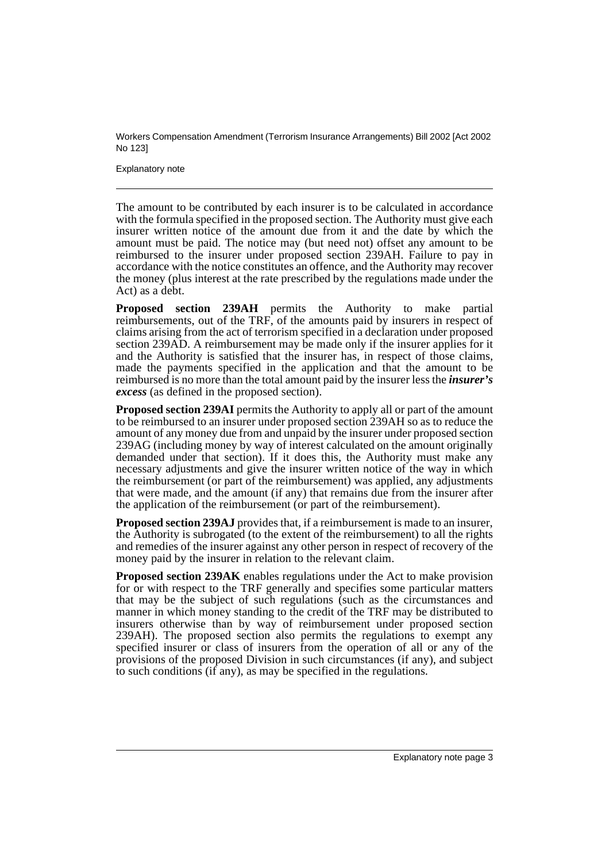Workers Compensation Amendment (Terrorism Insurance Arrangements) Bill 2002 [Act 2002 No 123]

Explanatory note

The amount to be contributed by each insurer is to be calculated in accordance with the formula specified in the proposed section. The Authority must give each insurer written notice of the amount due from it and the date by which the amount must be paid. The notice may (but need not) offset any amount to be reimbursed to the insurer under proposed section 239AH. Failure to pay in accordance with the notice constitutes an offence, and the Authority may recover the money (plus interest at the rate prescribed by the regulations made under the Act) as a debt.

**Proposed section 239AH** permits the Authority to make partial reimbursements, out of the TRF, of the amounts paid by insurers in respect of claims arising from the act of terrorism specified in a declaration under proposed section 239AD. A reimbursement may be made only if the insurer applies for it and the Authority is satisfied that the insurer has, in respect of those claims, made the payments specified in the application and that the amount to be reimbursed is no more than the total amount paid by the insurer less the *insurer's excess* (as defined in the proposed section).

**Proposed section 239AI** permits the Authority to apply all or part of the amount to be reimbursed to an insurer under proposed section 239AH so as to reduce the amount of any money due from and unpaid by the insurer under proposed section 239AG (including money by way of interest calculated on the amount originally demanded under that section). If it does this, the Authority must make any necessary adjustments and give the insurer written notice of the way in which the reimbursement (or part of the reimbursement) was applied, any adjustments that were made, and the amount (if any) that remains due from the insurer after the application of the reimbursement (or part of the reimbursement).

**Proposed section 239AJ** provides that, if a reimbursement is made to an insurer, the Authority is subrogated (to the extent of the reimbursement) to all the rights and remedies of the insurer against any other person in respect of recovery of the money paid by the insurer in relation to the relevant claim.

**Proposed section 239AK** enables regulations under the Act to make provision for or with respect to the TRF generally and specifies some particular matters that may be the subject of such regulations (such as the circumstances and manner in which money standing to the credit of the TRF may be distributed to insurers otherwise than by way of reimbursement under proposed section 239AH). The proposed section also permits the regulations to exempt any specified insurer or class of insurers from the operation of all or any of the provisions of the proposed Division in such circumstances (if any), and subject to such conditions (if any), as may be specified in the regulations.